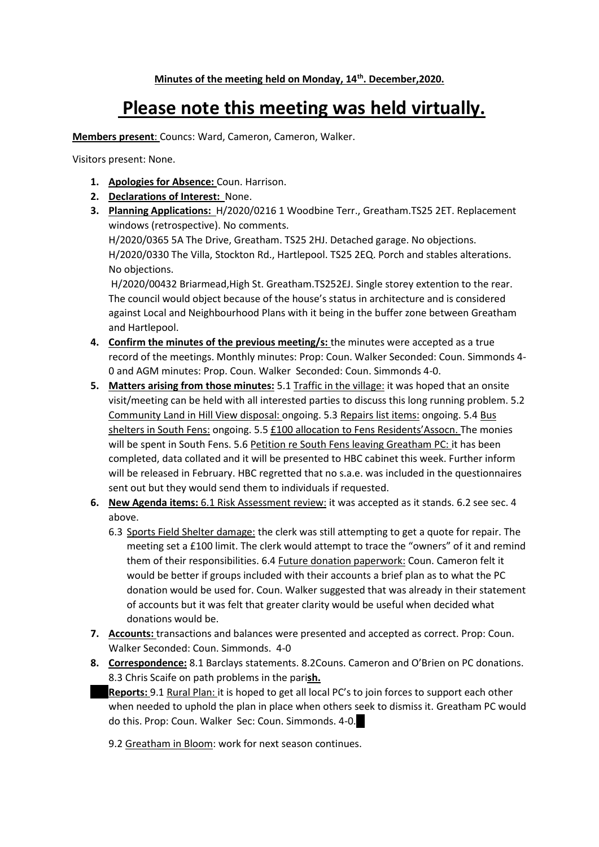## **Please note this meeting was held virtually.**

**Members present**: Councs: Ward, Cameron, Cameron, Walker.

Visitors present: None.

- **1. Apologies for Absence:** Coun. Harrison.
- **2. Declarations of Interest:** None.
- **3. Planning Applications:** H/2020/0216 1 Woodbine Terr., Greatham.TS25 2ET. Replacement windows (retrospective). No comments.

H/2020/0365 5A The Drive, Greatham. TS25 2HJ. Detached garage. No objections. H/2020/0330 The Villa, Stockton Rd., Hartlepool. TS25 2EQ. Porch and stables alterations. No objections.

H/2020/00432 Briarmead,High St. Greatham.TS252EJ. Single storey extention to the rear. The council would object because of the house's status in architecture and is considered against Local and Neighbourhood Plans with it being in the buffer zone between Greatham and Hartlepool.

- **4. Confirm the minutes of the previous meeting/s:** the minutes were accepted as a true record of the meetings. Monthly minutes: Prop: Coun. Walker Seconded: Coun. Simmonds 4- 0 and AGM minutes: Prop. Coun. Walker Seconded: Coun. Simmonds 4-0.
- **5. Matters arising from those minutes:** 5.1 Traffic in the village: it was hoped that an onsite visit/meeting can be held with all interested parties to discuss this long running problem. 5.2 Community Land in Hill View disposal: ongoing. 5.3 Repairs list items: ongoing. 5.4 Bus shelters in South Fens: ongoing. 5.5 £100 allocation to Fens Residents'Assocn. The monies will be spent in South Fens. 5.6 Petition re South Fens leaving Greatham PC: it has been completed, data collated and it will be presented to HBC cabinet this week. Further inform will be released in February. HBC regretted that no s.a.e. was included in the questionnaires sent out but they would send them to individuals if requested.
- **6. New Agenda items:** 6.1 Risk Assessment review: it was accepted as it stands. 6.2 see sec. 4 above.
	- 6.3 Sports Field Shelter damage: the clerk was still attempting to get a quote for repair. The meeting set a £100 limit. The clerk would attempt to trace the "owners" of it and remind them of their responsibilities. 6.4 Future donation paperwork: Coun. Cameron felt it would be better if groups included with their accounts a brief plan as to what the PC donation would be used for. Coun. Walker suggested that was already in their statement of accounts but it was felt that greater clarity would be useful when decided what donations would be.
- **7. Accounts:** transactions and balances were presented and accepted as correct. Prop: Coun. Walker Seconded: Coun. Simmonds. 4-0
- **8. Correspondence:** 8.1 Barclays statements. 8.2Couns. Cameron and O'Brien on PC donations. 8.3 Chris Scaife on path problems in the pari**sh.**
- Reports: 9.1 Rural Plan: it is hoped to get all local PC's to join forces to support each other when needed to uphold the plan in place when others seek to dismiss it. Greatham PC would do this. Prop: Coun. Walker Sec: Coun. Simmonds. 4-0.
	- 9.2 Greatham in Bloom: work for next season continues.